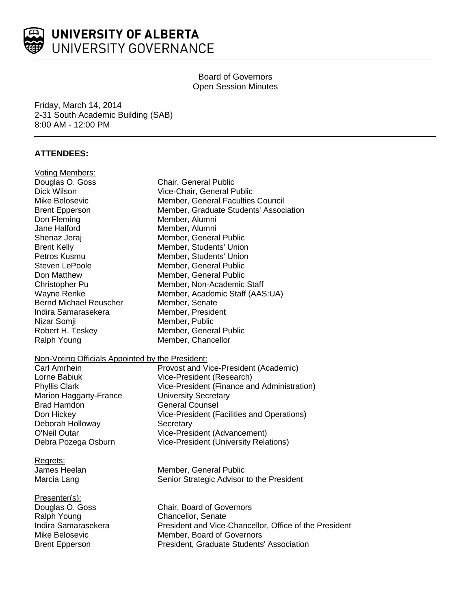

# Board of Governors Open Session Minutes

Friday, March 14, 2014 2-31 South Academic Building (SAB) 8:00 AM - 12:00 PM

# **ATTENDEES:**

| <b>Voting Members:</b>                           |                                                        |
|--------------------------------------------------|--------------------------------------------------------|
| Douglas O. Goss                                  | Chair, General Public                                  |
| Dick Wilson                                      | Vice-Chair, General Public                             |
| Mike Belosevic                                   | Member, General Faculties Council                      |
| <b>Brent Epperson</b>                            | Member, Graduate Students' Association                 |
| Don Fleming                                      | Member, Alumni                                         |
| Jane Halford                                     | Member, Alumni                                         |
| Shenaz Jeraj                                     | Member, General Public                                 |
| <b>Brent Kelly</b>                               | Member, Students' Union                                |
| Petros Kusmu                                     | Member, Students' Union                                |
| Steven LePoole                                   | Member, General Public                                 |
| Don Matthew                                      | Member, General Public                                 |
| Christopher Pu                                   | Member, Non-Academic Staff                             |
| Wayne Renke                                      | Member, Academic Staff (AAS:UA)                        |
| <b>Bernd Michael Reuscher</b>                    | Member, Senate                                         |
| Indira Samarasekera                              | Member, President                                      |
| Nizar Somji                                      | Member, Public                                         |
| Robert H. Teskey                                 | Member, General Public                                 |
| Ralph Young                                      | Member, Chancellor                                     |
| Non-Voting Officials Appointed by the President: |                                                        |
| Carl Amrhein                                     | Provost and Vice-President (Academic)                  |
| Lorne Babiuk                                     | Vice-President (Research)                              |
| <b>Phyllis Clark</b>                             | Vice-President (Finance and Administration)            |
| Marion Haggarty-France                           | <b>University Secretary</b>                            |
| <b>Brad Hamdon</b>                               | <b>General Counsel</b>                                 |
| Don Hickey                                       | Vice-President (Facilities and Operations)             |
| Deborah Holloway                                 | Secretary                                              |
| O'Neil Outar                                     | Vice-President (Advancement)                           |
| Debra Pozega Osburn                              | <b>Vice-President (University Relations)</b>           |
| Regrets:                                         |                                                        |
| James Heelan                                     | Member, General Public                                 |
| Marcia Lang                                      | Senior Strategic Advisor to the President              |
| Presenter(s):                                    |                                                        |
| Douglas O. Goss                                  | Chair, Board of Governors                              |
| Ralph Young                                      | Chancellor, Senate                                     |
| Indira Samarasekera                              | President and Vice-Chancellor, Office of the President |
| Mike Belosevic                                   | Member, Board of Governors                             |
| <b>Brent Epperson</b>                            | President, Graduate Students' Association              |
|                                                  |                                                        |
|                                                  |                                                        |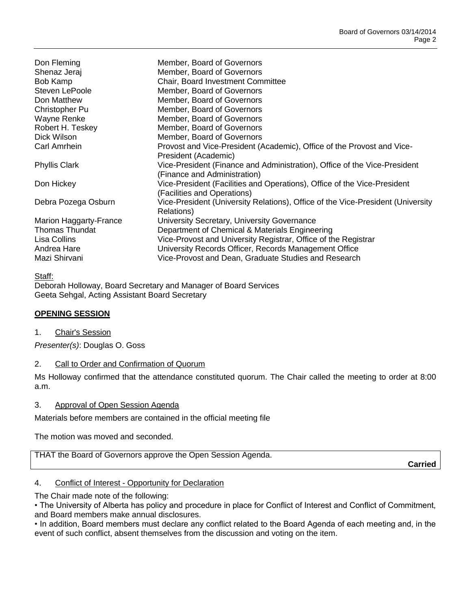| Don Fleming<br>Shenaz Jeraj<br>Bob Kamp<br>Steven LePoole<br>Don Matthew<br>Christopher Pu | Member, Board of Governors<br>Member, Board of Governors<br>Chair, Board Investment Committee<br>Member, Board of Governors<br>Member, Board of Governors<br>Member, Board of Governors                                                                                          |
|--------------------------------------------------------------------------------------------|----------------------------------------------------------------------------------------------------------------------------------------------------------------------------------------------------------------------------------------------------------------------------------|
| Wayne Renke<br>Robert H. Teskey                                                            | Member, Board of Governors<br>Member, Board of Governors                                                                                                                                                                                                                         |
| Dick Wilson                                                                                | Member, Board of Governors                                                                                                                                                                                                                                                       |
| Carl Amrhein                                                                               | Provost and Vice-President (Academic), Office of the Provost and Vice-<br>President (Academic)                                                                                                                                                                                   |
| <b>Phyllis Clark</b>                                                                       | Vice-President (Finance and Administration), Office of the Vice-President<br>(Finance and Administration)                                                                                                                                                                        |
| Don Hickey                                                                                 | Vice-President (Facilities and Operations), Office of the Vice-President<br>(Facilities and Operations)                                                                                                                                                                          |
| Debra Pozega Osburn                                                                        | Vice-President (University Relations), Office of the Vice-President (University<br>Relations)                                                                                                                                                                                    |
| Marion Haggarty-France<br>Thomas Thundat<br>Lisa Collins<br>Andrea Hare<br>Mazi Shirvani   | University Secretary, University Governance<br>Department of Chemical & Materials Engineering<br>Vice-Provost and University Registrar, Office of the Registrar<br>University Records Officer, Records Management Office<br>Vice-Provost and Dean, Graduate Studies and Research |

#### Staff: Deborah Holloway, Board Secretary and Manager of Board Services Geeta Sehgal, Acting Assistant Board Secretary

# **OPENING SESSION**

1. Chair's Session

*Presenter(s)*: Douglas O. Goss

2. Call to Order and Confirmation of Quorum

Ms Holloway confirmed that the attendance constituted quorum. The Chair called the meeting to order at 8:00 a.m.

3. Approval of Open Session Agenda

Materials before members are contained in the official meeting file

The motion was moved and seconded.

THAT the Board of Governors approve the Open Session Agenda.

**Carried**

# 4. Conflict of Interest - Opportunity for Declaration

The Chair made note of the following:

• The University of Alberta has policy and procedure in place for Conflict of Interest and Conflict of Commitment, and Board members make annual disclosures.

• In addition, Board members must declare any conflict related to the Board Agenda of each meeting and, in the event of such conflict, absent themselves from the discussion and voting on the item.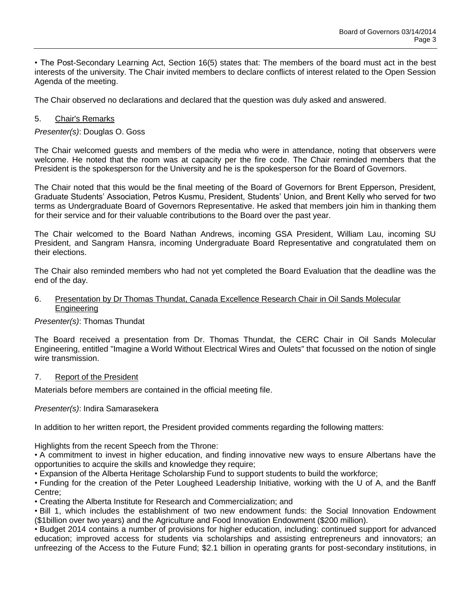• The Post-Secondary Learning Act, Section 16(5) states that: The members of the board must act in the best interests of the university. The Chair invited members to declare conflicts of interest related to the Open Session Agenda of the meeting.

The Chair observed no declarations and declared that the question was duly asked and answered.

# 5. Chair's Remarks

*Presenter(s)*: Douglas O. Goss

The Chair welcomed guests and members of the media who were in attendance, noting that observers were welcome. He noted that the room was at capacity per the fire code. The Chair reminded members that the President is the spokesperson for the University and he is the spokesperson for the Board of Governors.

The Chair noted that this would be the final meeting of the Board of Governors for Brent Epperson, President, Graduate Students' Association, Petros Kusmu, President, Students' Union, and Brent Kelly who served for two terms as Undergraduate Board of Governors Representative. He asked that members join him in thanking them for their service and for their valuable contributions to the Board over the past year.

The Chair welcomed to the Board Nathan Andrews, incoming GSA President, William Lau, incoming SU President, and Sangram Hansra, incoming Undergraduate Board Representative and congratulated them on their elections.

The Chair also reminded members who had not yet completed the Board Evaluation that the deadline was the end of the day.

## 6. Presentation by Dr Thomas Thundat, Canada Excellence Research Chair in Oil Sands Molecular Engineering

## *Presenter(s)*: Thomas Thundat

The Board received a presentation from Dr. Thomas Thundat, the CERC Chair in Oil Sands Molecular Engineering, entitled "Imagine a World Without Electrical Wires and Oulets" that focussed on the notion of single wire transmission.

## 7. Report of the President

Materials before members are contained in the official meeting file.

## *Presenter(s)*: Indira Samarasekera

In addition to her written report, the President provided comments regarding the following matters:

Highlights from the recent Speech from the Throne:

• A commitment to invest in higher education, and finding innovative new ways to ensure Albertans have the opportunities to acquire the skills and knowledge they require;

• Expansion of the Alberta Heritage Scholarship Fund to support students to build the workforce;

• Funding for the creation of the Peter Lougheed Leadership Initiative, working with the U of A, and the Banff Centre;

• Creating the Alberta Institute for Research and Commercialization; and

• Bill 1, which includes the establishment of two new endowment funds: the Social Innovation Endowment (\$1billion over two years) and the Agriculture and Food Innovation Endowment (\$200 million).

• Budget 2014 contains a number of provisions for higher education, including: continued support for advanced education; improved access for students via scholarships and assisting entrepreneurs and innovators; an unfreezing of the Access to the Future Fund; \$2.1 billion in operating grants for post-secondary institutions, in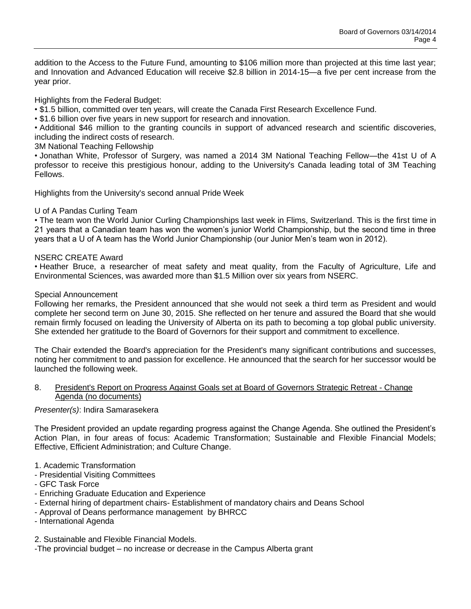addition to the Access to the Future Fund, amounting to \$106 million more than projected at this time last year; and Innovation and Advanced Education will receive \$2.8 billion in 2014-15—a five per cent increase from the year prior.

Highlights from the Federal Budget:

• \$1.5 billion, committed over ten years, will create the Canada First Research Excellence Fund.

• \$1.6 billion over five years in new support for research and innovation.

• Additional \$46 million to the granting councils in support of advanced research and scientific discoveries, including the indirect costs of research.

3M National Teaching Fellowship

• Jonathan White, Professor of Surgery, was named a 2014 3M National Teaching Fellow—the 41st U of A professor to receive this prestigious honour, adding to the University's Canada leading total of 3M Teaching Fellows.

Highlights from the University's second annual Pride Week

# U of A Pandas Curling Team

• The team won the World Junior Curling Championships last week in Flims, Switzerland. This is the first time in 21 years that a Canadian team has won the women's junior World Championship, but the second time in three years that a U of A team has the World Junior Championship (our Junior Men's team won in 2012).

## NSERC CREATE Award

• Heather Bruce, a researcher of meat safety and meat quality, from the Faculty of Agriculture, Life and Environmental Sciences, was awarded more than \$1.5 Million over six years from NSERC.

## Special Announcement

Following her remarks, the President announced that she would not seek a third term as President and would complete her second term on June 30, 2015. She reflected on her tenure and assured the Board that she would remain firmly focused on leading the University of Alberta on its path to becoming a top global public university. She extended her gratitude to the Board of Governors for their support and commitment to excellence.

The Chair extended the Board's appreciation for the President's many significant contributions and successes, noting her commitment to and passion for excellence. He announced that the search for her successor would be launched the following week.

#### 8. President's Report on Progress Against Goals set at Board of Governors Strategic Retreat - Change Agenda (no documents)

## *Presenter(s)*: Indira Samarasekera

The President provided an update regarding progress against the Change Agenda. She outlined the President's Action Plan, in four areas of focus: Academic Transformation; Sustainable and Flexible Financial Models; Effective, Efficient Administration; and Culture Change.

## 1. Academic Transformation

- Presidential Visiting Committees
- GFC Task Force
- Enriching Graduate Education and Experience
- External hiring of department chairs- Establishment of mandatory chairs and Deans School
- Approval of Deans performance management by BHRCC
- International Agenda

2. Sustainable and Flexible Financial Models.

-The provincial budget – no increase or decrease in the Campus Alberta grant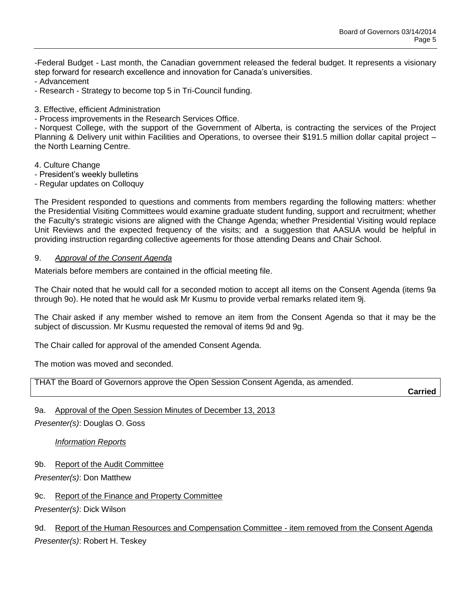-Federal Budget - Last month, the Canadian government released the federal budget. It represents a visionary step forward for research excellence and innovation for Canada's universities.

- Advancement

- Research - Strategy to become top 5 in Tri-Council funding.

3. Effective, efficient Administration

- Process improvements in the Research Services Office.

- Norquest College, with the support of the Government of Alberta, is contracting the services of the Project Planning & Delivery unit within Facilities and Operations, to oversee their \$191.5 million dollar capital project – the North Learning Centre.

4. Culture Change

- President's weekly bulletins

- Regular updates on Colloquy

The President responded to questions and comments from members regarding the following matters: whether the Presidential Visiting Committees would examine graduate student funding, support and recruitment; whether the Faculty's strategic visions are aligned with the Change Agenda; whether Presidential Visiting would replace Unit Reviews and the expected frequency of the visits; and a suggestion that AASUA would be helpful in providing instruction regarding collective ageements for those attending Deans and Chair School.

#### 9. *Approval of the Consent Agenda*

Materials before members are contained in the official meeting file.

The Chair noted that he would call for a seconded motion to accept all items on the Consent Agenda (items 9a through 9o). He noted that he would ask Mr Kusmu to provide verbal remarks related item 9j.

The Chair asked if any member wished to remove an item from the Consent Agenda so that it may be the subject of discussion. Mr Kusmu requested the removal of items 9d and 9g.

The Chair called for approval of the amended Consent Agenda.

The motion was moved and seconded.

THAT the Board of Governors approve the Open Session Consent Agenda, as amended.

**Carried**

## 9a. Approval of the Open Session Minutes of December 13, 2013

*Presenter(s)*: Douglas O. Goss

*Information Reports*

9b. Report of the Audit Committee

*Presenter(s)*: Don Matthew

9c. Report of the Finance and Property Committee

*Presenter(s)*: Dick Wilson

| 9d. Report of the Human Resources and Compensation Committee - item removed from the Consent Agenda |  |  |  |
|-----------------------------------------------------------------------------------------------------|--|--|--|
|                                                                                                     |  |  |  |

*Presenter(s)*: Robert H. Teskey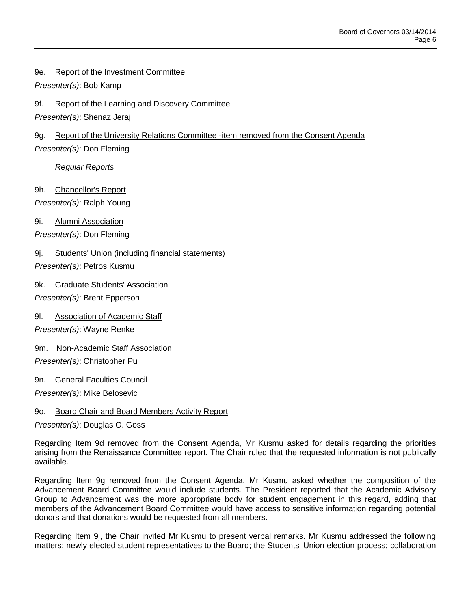9e. Report of the Investment Committee

*Presenter(s)*: Bob Kamp

9f. Report of the Learning and Discovery Committee

*Presenter(s)*: Shenaz Jeraj

9g. Report of the University Relations Committee -item removed from the Consent Agenda *Presenter(s)*: Don Fleming

*Regular Reports*

9h. Chancellor's Report *Presenter(s)*: Ralph Young

9i. Alumni Association

*Presenter(s)*: Don Fleming

9j. Students' Union (including financial statements)

*Presenter(s)*: Petros Kusmu

9k. Graduate Students' Association

*Presenter(s)*: Brent Epperson

- 9I. Association of Academic Staff
- *Presenter(s)*: Wayne Renke
- 9m. Non-Academic Staff Association

*Presenter(s)*: Christopher Pu

9n. General Faculties Council

*Presenter(s)*: Mike Belosevic

## 9o. Board Chair and Board Members Activity Report

*Presenter(s)*: Douglas O. Goss

Regarding Item 9d removed from the Consent Agenda, Mr Kusmu asked for details regarding the priorities arising from the Renaissance Committee report. The Chair ruled that the requested information is not publically available.

Regarding Item 9g removed from the Consent Agenda, Mr Kusmu asked whether the composition of the Advancement Board Committee would include students. The President reported that the Academic Advisory Group to Advancement was the more appropriate body for student engagement in this regard, adding that members of the Advancement Board Committee would have access to sensitive information regarding potential donors and that donations would be requested from all members.

Regarding Item 9j, the Chair invited Mr Kusmu to present verbal remarks. Mr Kusmu addressed the following matters: newly elected student representatives to the Board; the Students' Union election process; collaboration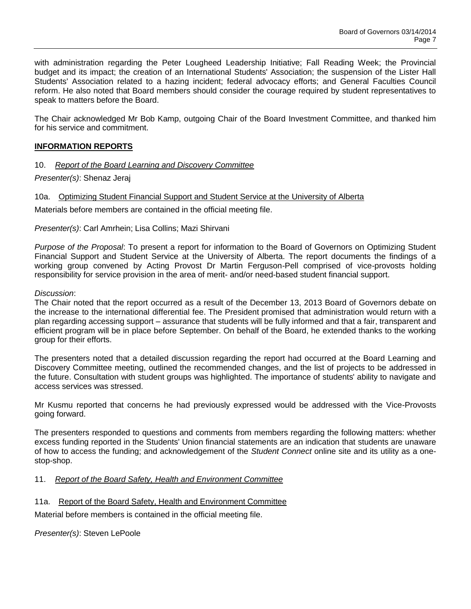with administration regarding the Peter Lougheed Leadership Initiative; Fall Reading Week; the Provincial budget and its impact; the creation of an International Students' Association; the suspension of the Lister Hall Students' Association related to a hazing incident; federal advocacy efforts; and General Faculties Council reform. He also noted that Board members should consider the courage required by student representatives to speak to matters before the Board.

The Chair acknowledged Mr Bob Kamp, outgoing Chair of the Board Investment Committee, and thanked him for his service and commitment.

# **INFORMATION REPORTS**

10. *Report of the Board Learning and Discovery Committee*

*Presenter(s)*: Shenaz Jeraj

10a. Optimizing Student Financial Support and Student Service at the University of Alberta

Materials before members are contained in the official meeting file.

*Presenter(s)*: Carl Amrhein; Lisa Collins; Mazi Shirvani

*Purpose of the Proposal*: To present a report for information to the Board of Governors on Optimizing Student Financial Support and Student Service at the University of Alberta. The report documents the findings of a working group convened by Acting Provost Dr Martin Ferguson-Pell comprised of vice-provosts holding responsibility for service provision in the area of merit- and/or need-based student financial support.

*Discussion*:

The Chair noted that the report occurred as a result of the December 13, 2013 Board of Governors debate on the increase to the international differential fee. The President promised that administration would return with a plan regarding accessing support – assurance that students will be fully informed and that a fair, transparent and efficient program will be in place before September. On behalf of the Board, he extended thanks to the working group for their efforts.

The presenters noted that a detailed discussion regarding the report had occurred at the Board Learning and Discovery Committee meeting, outlined the recommended changes, and the list of projects to be addressed in the future. Consultation with student groups was highlighted. The importance of students' ability to navigate and access services was stressed.

Mr Kusmu reported that concerns he had previously expressed would be addressed with the Vice-Provosts going forward.

The presenters responded to questions and comments from members regarding the following matters: whether excess funding reported in the Students' Union financial statements are an indication that students are unaware of how to access the funding; and acknowledgement of the *Student Connect* online site and its utility as a onestop-shop.

## 11. *Report of the Board Safety, Health and Environment Committee*

#### 11a. Report of the Board Safety, Health and Environment Committee

Material before members is contained in the official meeting file.

*Presenter(s)*: Steven LePoole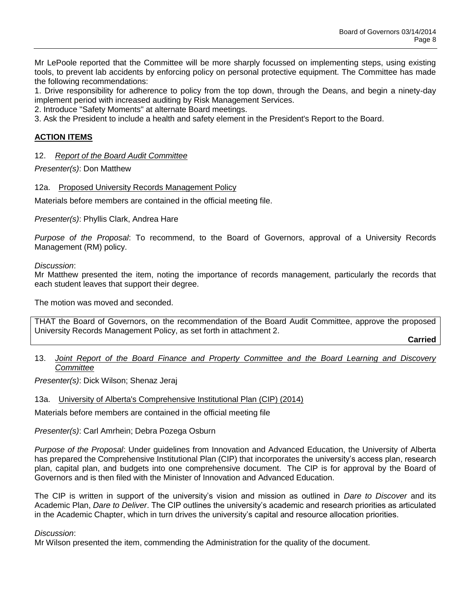Mr LePoole reported that the Committee will be more sharply focussed on implementing steps, using existing tools, to prevent lab accidents by enforcing policy on personal protective equipment. The Committee has made the following recommendations:

1. Drive responsibility for adherence to policy from the top down, through the Deans, and begin a ninety-day implement period with increased auditing by Risk Management Services.

2. Introduce "Safety Moments" at alternate Board meetings.

3. Ask the President to include a health and safety element in the President's Report to the Board.

# **ACTION ITEMS**

#### 12. *Report of the Board Audit Committee*

*Presenter(s)*: Don Matthew

#### 12a. Proposed University Records Management Policy

Materials before members are contained in the official meeting file.

*Presenter(s)*: Phyllis Clark, Andrea Hare

*Purpose of the Proposal*: To recommend, to the Board of Governors, approval of a University Records Management (RM) policy.

*Discussion*:

Mr Matthew presented the item, noting the importance of records management, particularly the records that each student leaves that support their degree.

The motion was moved and seconded.

THAT the Board of Governors, on the recommendation of the Board Audit Committee, approve the proposed University Records Management Policy, as set forth in attachment 2.

**Carried**

## 13. *Joint Report of the Board Finance and Property Committee and the Board Learning and Discovery Committee*

*Presenter(s)*: Dick Wilson; Shenaz Jeraj

13a. University of Alberta's Comprehensive Institutional Plan (CIP) (2014)

Materials before members are contained in the official meeting file

*Presenter(s)*: Carl Amrhein; Debra Pozega Osburn

*Purpose of the Proposal*: Under guidelines from Innovation and Advanced Education, the University of Alberta has prepared the Comprehensive Institutional Plan (CIP) that incorporates the university's access plan, research plan, capital plan, and budgets into one comprehensive document. The CIP is for approval by the Board of Governors and is then filed with the Minister of Innovation and Advanced Education.

The CIP is written in support of the university's vision and mission as outlined in *Dare to Discover* and its Academic Plan, *Dare to Deliver*. The CIP outlines the university's academic and research priorities as articulated in the Academic Chapter, which in turn drives the university's capital and resource allocation priorities.

#### *Discussion*:

Mr Wilson presented the item, commending the Administration for the quality of the document.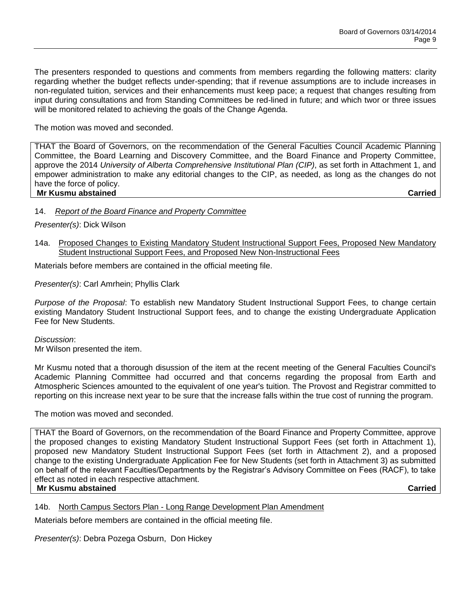The presenters responded to questions and comments from members regarding the following matters: clarity regarding whether the budget reflects under-spending; that if revenue assumptions are to include increases in non-regulated tuition, services and their enhancements must keep pace; a request that changes resulting from input during consultations and from Standing Committees be red-lined in future; and which twor or three issues will be monitored related to achieving the goals of the Change Agenda.

The motion was moved and seconded.

THAT the Board of Governors, on the recommendation of the General Faculties Council Academic Planning Committee, the Board Learning and Discovery Committee, and the Board Finance and Property Committee, approve the 2014 *University of Alberta Comprehensive Institutional Plan (CIP)*, as set forth in Attachment 1, and empower administration to make any editorial changes to the CIP, as needed, as long as the changes do not have the force of policy. **Mr Kusmu abstained Carried**

# 14. *Report of the Board Finance and Property Committee*

*Presenter(s)*: Dick Wilson

14a. Proposed Changes to Existing Mandatory Student Instructional Support Fees, Proposed New Mandatory Student Instructional Support Fees, and Proposed New Non-Instructional Fees

Materials before members are contained in the official meeting file.

*Presenter(s)*: Carl Amrhein; Phyllis Clark

*Purpose of the Proposal*: To establish new Mandatory Student Instructional Support Fees, to change certain existing Mandatory Student Instructional Support fees, and to change the existing Undergraduate Application Fee for New Students.

*Discussion*:

Mr Wilson presented the item.

Mr Kusmu noted that a thorough disussion of the item at the recent meeting of the General Faculties Council's Academic Planning Committee had occurred and that concerns regarding the proposal from Earth and Atmospheric Sciences amounted to the equivalent of one year's tuition. The Provost and Registrar committed to reporting on this increase next year to be sure that the increase falls within the true cost of running the program.

The motion was moved and seconded.

THAT the Board of Governors, on the recommendation of the Board Finance and Property Committee, approve the proposed changes to existing Mandatory Student Instructional Support Fees (set forth in Attachment 1), proposed new Mandatory Student Instructional Support Fees (set forth in Attachment 2), and a proposed change to the existing Undergraduate Application Fee for New Students (set forth in Attachment 3) as submitted on behalf of the relevant Faculties/Departments by the Registrar's Advisory Committee on Fees (RACF), to take effect as noted in each respective attachment. **Mr Kusmu abstained Carried**

14b. North Campus Sectors Plan - Long Range Development Plan Amendment

Materials before members are contained in the official meeting file.

*Presenter(s)*: Debra Pozega Osburn, Don Hickey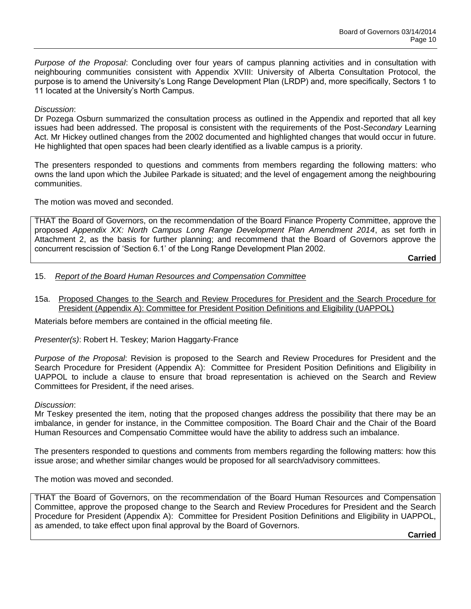*Purpose of the Proposal*: Concluding over four years of campus planning activities and in consultation with neighbouring communities consistent with Appendix XVIII: University of Alberta Consultation Protocol, the purpose is to amend the University's Long Range Development Plan (LRDP) and, more specifically, Sectors 1 to 11 located at the University's North Campus.

# *Discussion*:

Dr Pozega Osburn summarized the consultation process as outlined in the Appendix and reported that all key issues had been addressed. The proposal is consistent with the requirements of the Post-*Secondary* Learning Act. Mr Hickey outlined changes from the 2002 documented and highlighted changes that would occur in future. He highlighted that open spaces had been clearly identified as a livable campus is a priority.

The presenters responded to questions and comments from members regarding the following matters: who owns the land upon which the Jubilee Parkade is situated; and the level of engagement among the neighbouring communities.

The motion was moved and seconded.

THAT the Board of Governors, on the recommendation of the Board Finance Property Committee, approve the proposed *Appendix XX: North Campus Long Range Development Plan Amendment 2014*, as set forth in Attachment 2, as the basis for further planning; and recommend that the Board of Governors approve the concurrent rescission of 'Section 6.1' of the Long Range Development Plan 2002.

**Carried**

- 15. *Report of the Board Human Resources and Compensation Committee*
- 15a. Proposed Changes to the Search and Review Procedures for President and the Search Procedure for President (Appendix A): Committee for President Position Definitions and Eligibility (UAPPOL)

Materials before members are contained in the official meeting file.

*Presenter(s)*: Robert H. Teskey; Marion Haggarty-France

*Purpose of the Proposal*: Revision is proposed to the Search and Review Procedures for President and the Search Procedure for President (Appendix A): Committee for President Position Definitions and Eligibility in UAPPOL to include a clause to ensure that broad representation is achieved on the Search and Review Committees for President, if the need arises.

#### *Discussion*:

Mr Teskey presented the item, noting that the proposed changes address the possibility that there may be an imbalance, in gender for instance, in the Committee composition. The Board Chair and the Chair of the Board Human Resources and Compensatio Committee would have the ability to address such an imbalance.

The presenters responded to questions and comments from members regarding the following matters: how this issue arose; and whether similar changes would be proposed for all search/advisory committees.

The motion was moved and seconded.

THAT the Board of Governors, on the recommendation of the Board Human Resources and Compensation Committee, approve the proposed change to the Search and Review Procedures for President and the Search Procedure for President (Appendix A): Committee for President Position Definitions and Eligibility in UAPPOL, as amended, to take effect upon final approval by the Board of Governors.

**Carried**